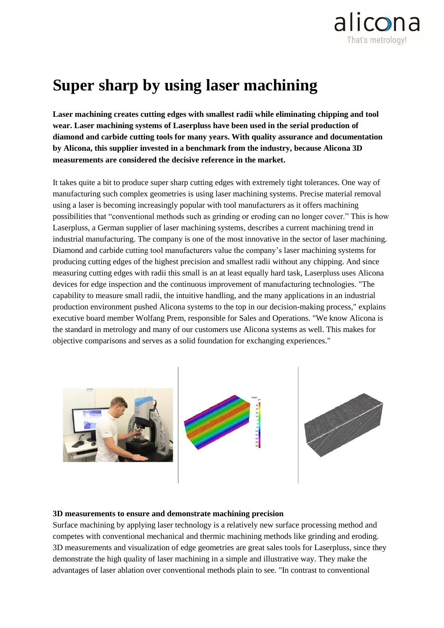

## **Super sharp by using laser machining**

**Laser machining creates cutting edges with smallest radii while eliminating chipping and tool wear. Laser machining systems of Laserpluss have been used in the serial production of diamond and carbide cutting tools for many years. With quality assurance and documentation by Alicona, this supplier invested in a benchmark from the industry, because Alicona 3D measurements are considered the decisive reference in the market.** 

It takes quite a bit to produce super sharp cutting edges with extremely tight tolerances. One way of manufacturing such complex geometries is using laser machining systems. Precise material removal using a laser is becoming increasingly popular with tool manufacturers as it offers machining possibilities that "conventional methods such as grinding or eroding can no longer cover." This is how Laserpluss, a German supplier of laser machining systems, describes a current machining trend in industrial manufacturing. The company is one of the most innovative in the sector of laser machining. Diamond and carbide cutting tool manufacturers value the company's laser machining systems for producing cutting edges of the highest precision and smallest radii without any chipping. And since measuring cutting edges with radii this small is an at least equally hard task, Laserpluss uses Alicona devices for edge inspection and the continuous improvement of manufacturing technologies. "The capability to measure small radii, the intuitive handling, and the many applications in an industrial production environment pushed Alicona systems to the top in our decision-making process," explains executive board member Wolfang Prem, responsible for Sales and Operations. "We know Alicona is the standard in metrology and many of our customers use Alicona systems as well. This makes for objective comparisons and serves as a solid foundation for exchanging experiences."



## **3D measurements to ensure and demonstrate machining precision**

Surface machining by applying laser technology is a relatively new surface processing method and competes with conventional mechanical and thermic machining methods like grinding and eroding. 3D measurements and visualization of edge geometries are great sales tools for Laserpluss, since they demonstrate the high quality of laser machining in a simple and illustrative way. They make the advantages of laser ablation over conventional methods plain to see. "In contrast to conventional